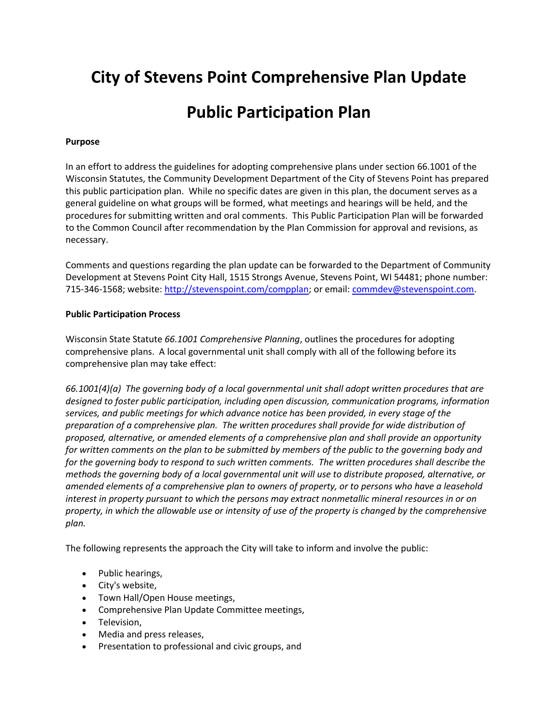# **City of Stevens Point Comprehensive Plan Update**

## **Public Participation Plan**

## **Purpose**

In an effort to address the guidelines for adopting comprehensive plans under section 66.1001 of the Wisconsin Statutes, the Community Development Department of the City of Stevens Point has prepared this public participation plan. While no specific dates are given in this plan, the document serves as a general guideline on what groups will be formed, what meetings and hearings will be held, and the procedures for submitting written and oral comments. This Public Participation Plan will be forwarded to the Common Council after recommendation by the Plan Commission for approval and revisions, as necessary.

Comments and questions regarding the plan update can be forwarded to the Department of Community Development at Stevens Point City Hall, 1515 Strongs Avenue, Stevens Point, WI 54481; phone number: 715-346-1568; website[: http://stevenspoint.com/compplan;](http://stevenspoint.com/compplan) or email: [commdev@stevenspoint.com.](mailto:commdev@stevenspoint.com)

#### **Public Participation Process**

Wisconsin State Statute *66.1001 Comprehensive Planning*, outlines the procedures for adopting comprehensive plans. A local governmental unit shall comply with all of the following before its comprehensive plan may take effect:

*66.1001(4)(a) The governing body of a local governmental unit shall adopt written procedures that are designed to foster public participation, including open discussion, communication programs, information services, and public meetings for which advance notice has been provided, in every stage of the preparation of a comprehensive plan. The written procedures shall provide for wide distribution of proposed, alternative, or amended elements of a comprehensive plan and shall provide an opportunity*  for written comments on the plan to be submitted by members of the public to the governing body and *for the governing body to respond to such written comments. The written procedures shall describe the methods the governing body of a local governmental unit will use to distribute proposed, alternative, or amended elements of a comprehensive plan to owners of property, or to persons who have a leasehold interest in property pursuant to which the persons may extract nonmetallic mineral resources in or on property, in which the allowable use or intensity of use of the property is changed by the comprehensive plan.*

The following represents the approach the City will take to inform and involve the public:

- Public hearings,
- City's website,
- Town Hall/Open House meetings,
- Comprehensive Plan Update Committee meetings,
- **•** Television.
- Media and press releases,
- Presentation to professional and civic groups, and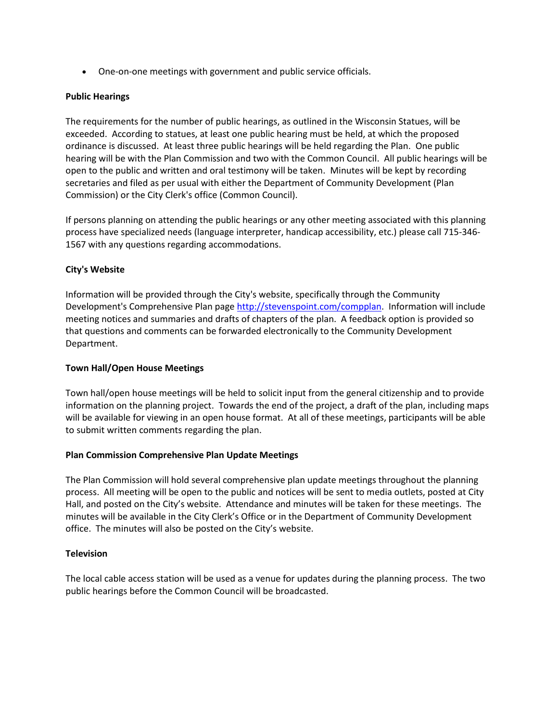One-on-one meetings with government and public service officials.

### **Public Hearings**

The requirements for the number of public hearings, as outlined in the Wisconsin Statues, will be exceeded. According to statues, at least one public hearing must be held, at which the proposed ordinance is discussed. At least three public hearings will be held regarding the Plan. One public hearing will be with the Plan Commission and two with the Common Council. All public hearings will be open to the public and written and oral testimony will be taken. Minutes will be kept by recording secretaries and filed as per usual with either the Department of Community Development (Plan Commission) or the City Clerk's office (Common Council).

If persons planning on attending the public hearings or any other meeting associated with this planning process have specialized needs (language interpreter, handicap accessibility, etc.) please call 715-346- 1567 with any questions regarding accommodations.

## **City's Website**

Information will be provided through the City's website, specifically through the Community Development's Comprehensive Plan page [http://stevenspoint.com/compplan.](http://stevenspoint.com/compplan) Information will include meeting notices and summaries and drafts of chapters of the plan. A feedback option is provided so that questions and comments can be forwarded electronically to the Community Development Department.

#### **Town Hall/Open House Meetings**

Town hall/open house meetings will be held to solicit input from the general citizenship and to provide information on the planning project. Towards the end of the project, a draft of the plan, including maps will be available for viewing in an open house format. At all of these meetings, participants will be able to submit written comments regarding the plan.

#### **Plan Commission Comprehensive Plan Update Meetings**

The Plan Commission will hold several comprehensive plan update meetings throughout the planning process. All meeting will be open to the public and notices will be sent to media outlets, posted at City Hall, and posted on the City's website. Attendance and minutes will be taken for these meetings. The minutes will be available in the City Clerk's Office or in the Department of Community Development office. The minutes will also be posted on the City's website.

#### **Television**

The local cable access station will be used as a venue for updates during the planning process. The two public hearings before the Common Council will be broadcasted.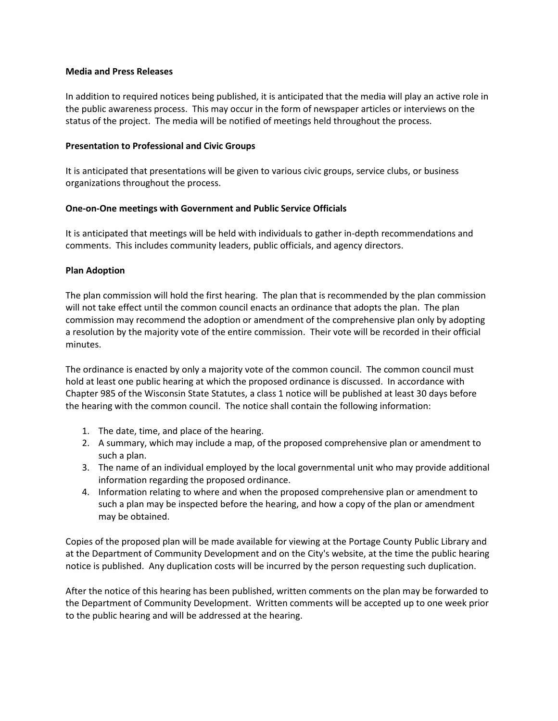#### **Media and Press Releases**

In addition to required notices being published, it is anticipated that the media will play an active role in the public awareness process. This may occur in the form of newspaper articles or interviews on the status of the project. The media will be notified of meetings held throughout the process.

#### **Presentation to Professional and Civic Groups**

It is anticipated that presentations will be given to various civic groups, service clubs, or business organizations throughout the process.

#### **One-on-One meetings with Government and Public Service Officials**

It is anticipated that meetings will be held with individuals to gather in-depth recommendations and comments. This includes community leaders, public officials, and agency directors.

#### **Plan Adoption**

The plan commission will hold the first hearing. The plan that is recommended by the plan commission will not take effect until the common council enacts an ordinance that adopts the plan. The plan commission may recommend the adoption or amendment of the comprehensive plan only by adopting a resolution by the majority vote of the entire commission. Their vote will be recorded in their official minutes.

The ordinance is enacted by only a majority vote of the common council. The common council must hold at least one public hearing at which the proposed ordinance is discussed. In accordance with Chapter 985 of the Wisconsin State Statutes, a class 1 notice will be published at least 30 days before the hearing with the common council. The notice shall contain the following information:

- 1. The date, time, and place of the hearing.
- 2. A summary, which may include a map, of the proposed comprehensive plan or amendment to such a plan.
- 3. The name of an individual employed by the local governmental unit who may provide additional information regarding the proposed ordinance.
- 4. Information relating to where and when the proposed comprehensive plan or amendment to such a plan may be inspected before the hearing, and how a copy of the plan or amendment may be obtained.

Copies of the proposed plan will be made available for viewing at the Portage County Public Library and at the Department of Community Development and on the City's website, at the time the public hearing notice is published. Any duplication costs will be incurred by the person requesting such duplication.

After the notice of this hearing has been published, written comments on the plan may be forwarded to the Department of Community Development. Written comments will be accepted up to one week prior to the public hearing and will be addressed at the hearing.